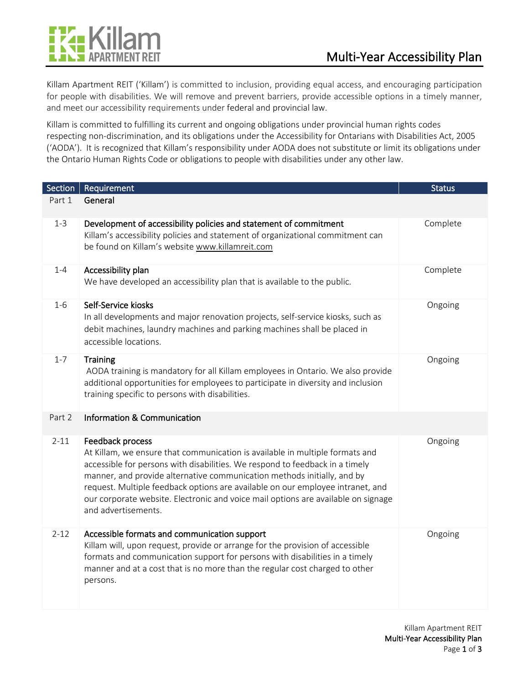



Killam Apartment REIT ('Killam') is committed to inclusion, providing equal access, and encouraging participation for people with disabilities. We will remove and prevent barriers, provide accessible options in a timely manner, and meet our accessibility requirements under federal and provincial law.

Killam is committed to fulfilling its current and ongoing obligations under provincial human rights codes respecting non-discrimination, and its obligations under the Accessibility for Ontarians with Disabilities Act, 2005 ('AODA'). It is recognized that Killam's responsibility under AODA does not substitute or limit its obligations under the Ontario Human Rights Code or obligations to people with disabilities under any other law.

| Section  | Requirement                                                                                                                                                                                                                                                                                                                                                                                                                                               | <b>Status</b> |
|----------|-----------------------------------------------------------------------------------------------------------------------------------------------------------------------------------------------------------------------------------------------------------------------------------------------------------------------------------------------------------------------------------------------------------------------------------------------------------|---------------|
| Part 1   | General                                                                                                                                                                                                                                                                                                                                                                                                                                                   |               |
| $1 - 3$  | Development of accessibility policies and statement of commitment<br>Killam's accessibility policies and statement of organizational commitment can<br>be found on Killam's website www.killamreit.com                                                                                                                                                                                                                                                    | Complete      |
| $1 - 4$  | Accessibility plan<br>We have developed an accessibility plan that is available to the public.                                                                                                                                                                                                                                                                                                                                                            | Complete      |
| $1 - 6$  | Self-Service kiosks<br>In all developments and major renovation projects, self-service kiosks, such as<br>debit machines, laundry machines and parking machines shall be placed in<br>accessible locations.                                                                                                                                                                                                                                               | Ongoing       |
| $1 - 7$  | Training<br>AODA training is mandatory for all Killam employees in Ontario. We also provide<br>additional opportunities for employees to participate in diversity and inclusion<br>training specific to persons with disabilities.                                                                                                                                                                                                                        | Ongoing       |
| Part 2   | Information & Communication                                                                                                                                                                                                                                                                                                                                                                                                                               |               |
| $2 - 11$ | Feedback process<br>At Killam, we ensure that communication is available in multiple formats and<br>accessible for persons with disabilities. We respond to feedback in a timely<br>manner, and provide alternative communication methods initially, and by<br>request. Multiple feedback options are available on our employee intranet, and<br>our corporate website. Electronic and voice mail options are available on signage<br>and advertisements. | Ongoing       |
| $2 - 12$ | Accessible formats and communication support<br>Killam will, upon request, provide or arrange for the provision of accessible<br>formats and communication support for persons with disabilities in a timely<br>manner and at a cost that is no more than the regular cost charged to other<br>persons.                                                                                                                                                   | Ongoing       |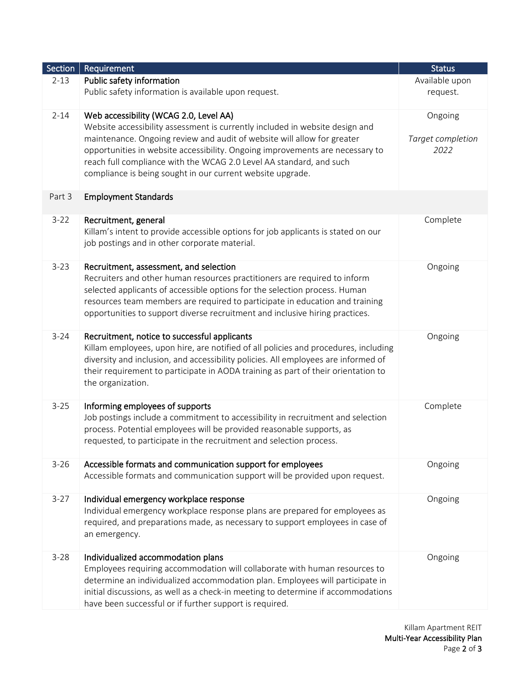| Section  | Requirement                                                                         | <b>Status</b>     |
|----------|-------------------------------------------------------------------------------------|-------------------|
| $2 - 13$ | Public safety information                                                           | Available upon    |
|          | Public safety information is available upon request.                                | request.          |
| $2 - 14$ | Web accessibility (WCAG 2.0, Level AA)                                              | Ongoing           |
|          | Website accessibility assessment is currently included in website design and        |                   |
|          | maintenance. Ongoing review and audit of website will allow for greater             | Target completion |
|          | opportunities in website accessibility. Ongoing improvements are necessary to       | 2022              |
|          | reach full compliance with the WCAG 2.0 Level AA standard, and such                 |                   |
|          | compliance is being sought in our current website upgrade.                          |                   |
|          |                                                                                     |                   |
| Part 3   | <b>Employment Standards</b>                                                         |                   |
| $3 - 22$ | Recruitment, general                                                                | Complete          |
|          | Killam's intent to provide accessible options for job applicants is stated on our   |                   |
|          | job postings and in other corporate material.                                       |                   |
| $3 - 23$ | Recruitment, assessment, and selection                                              | Ongoing           |
|          | Recruiters and other human resources practitioners are required to inform           |                   |
|          | selected applicants of accessible options for the selection process. Human          |                   |
|          | resources team members are required to participate in education and training        |                   |
|          | opportunities to support diverse recruitment and inclusive hiring practices.        |                   |
| $3 - 24$ | Recruitment, notice to successful applicants                                        | Ongoing           |
|          | Killam employees, upon hire, are notified of all policies and procedures, including |                   |
|          | diversity and inclusion, and accessibility policies. All employees are informed of  |                   |
|          | their requirement to participate in AODA training as part of their orientation to   |                   |
|          | the organization.                                                                   |                   |
| $3 - 25$ | Informing employees of supports                                                     | Complete          |
|          | Job postings include a commitment to accessibility in recruitment and selection     |                   |
|          | process. Potential employees will be provided reasonable supports, as               |                   |
|          | requested, to participate in the recruitment and selection process.                 |                   |
| $3 - 26$ | Accessible formats and communication support for employees                          | Ongoing           |
|          | Accessible formats and communication support will be provided upon request.         |                   |
| $3-27$   | Individual emergency workplace response                                             | Ongoing           |
|          | Individual emergency workplace response plans are prepared for employees as         |                   |
|          | required, and preparations made, as necessary to support employees in case of       |                   |
|          | an emergency.                                                                       |                   |
| $3 - 28$ | Individualized accommodation plans                                                  | Ongoing           |
|          | Employees requiring accommodation will collaborate with human resources to          |                   |
|          | determine an individualized accommodation plan. Employees will participate in       |                   |
|          | initial discussions, as well as a check-in meeting to determine if accommodations   |                   |
|          | have been successful or if further support is required.                             |                   |